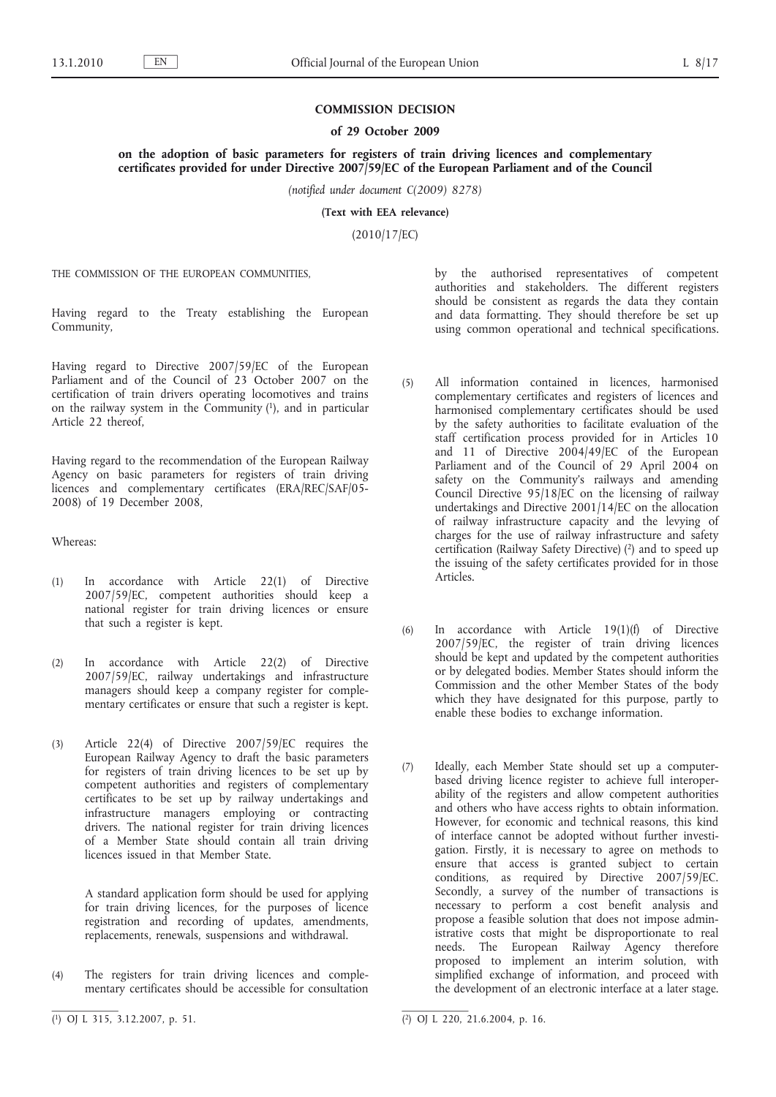## **COMMISSION DECISION**

## **of 29 October 2009**

**on the adoption of basic parameters for registers of train driving licences and complementary certificates provided for under Directive 2007/59/EC of the European Parliament and of the Council**

*(notified under document C(2009) 8278)*

**(Text with EEA relevance)**

(2010/17/EC)

THE COMMISSION OF THE EUROPEAN COMMUNITIES,

Having regard to the Treaty establishing the European Community,

Having regard to Directive 2007/59/EC of the European Parliament and of the Council of 23 October 2007 on the certification of train drivers operating locomotives and trains on the railway system in the Community  $(1)$ , and in particular Article 22 thereof,

Having regard to the recommendation of the European Railway Agency on basic parameters for registers of train driving licences and complementary certificates (ERA/REC/SAF/05-2008) of 19 December 2008,

Whereas:

- (1) In accordance with Article 22(1) of Directive 2007/59/EC, competent authorities should keep a national register for train driving licences or ensure that such a register is kept.
- (2) In accordance with Article 22(2) of Directive 2007/59/EC, railway undertakings and infrastructure managers should keep a company register for complementary certificates or ensure that such a register is kept.
- (3) Article 22(4) of Directive 2007/59/EC requires the European Railway Agency to draft the basic parameters for registers of train driving licences to be set up by competent authorities and registers of complementary certificates to be set up by railway undertakings and infrastructure managers employing or contracting drivers. The national register for train driving licences of a Member State should contain all train driving licences issued in that Member State.

A standard application form should be used for applying for train driving licences, for the purposes of licence registration and recording of updates, amendments, replacements, renewals, suspensions and withdrawal.

(4) The registers for train driving licences and complementary certificates should be accessible for consultation by the authorised representatives of competent authorities and stakeholders. The different registers should be consistent as regards the data they contain and data formatting. They should therefore be set up using common operational and technical specifications.

- (5) All information contained in licences, harmonised complementary certificates and registers of licences and harmonised complementary certificates should be used by the safety authorities to facilitate evaluation of the staff certification process provided for in Articles 10 and 11 of Directive 2004/49/EC of the European Parliament and of the Council of 29 April 2004 on safety on the Community's railways and amending Council Directive 95/18/EC on the licensing of railway undertakings and Directive 2001/14/EC on the allocation of railway infrastructure capacity and the levying of charges for the use of railway infrastructure and safety certification (Railway Safety Directive) (2) and to speed up the issuing of the safety certificates provided for in those Articles.
- (6) In accordance with Article 19(1)(f) of Directive 2007/59/EC, the register of train driving licences should be kept and updated by the competent authorities or by delegated bodies. Member States should inform the Commission and the other Member States of the body which they have designated for this purpose, partly to enable these bodies to exchange information.
- (7) Ideally, each Member State should set up a computerbased driving licence register to achieve full interoperability of the registers and allow competent authorities and others who have access rights to obtain information. However, for economic and technical reasons, this kind of interface cannot be adopted without further investigation. Firstly, it is necessary to agree on methods to ensure that access is granted subject to certain conditions, as required by Directive 2007/59/EC. Secondly, a survey of the number of transactions is necessary to perform a cost benefit analysis and propose a feasible solution that does not impose administrative costs that might be disproportionate to real needs. The European Railway Agency therefore proposed to implement an interim solution, with simplified exchange of information, and proceed with the development of an electronic interface at a later stage.

 $(1)$  OJ L 315, 3.12.2007, p. 51.

<sup>(2)</sup> OJ L 220, 21.6.2004, p. 16.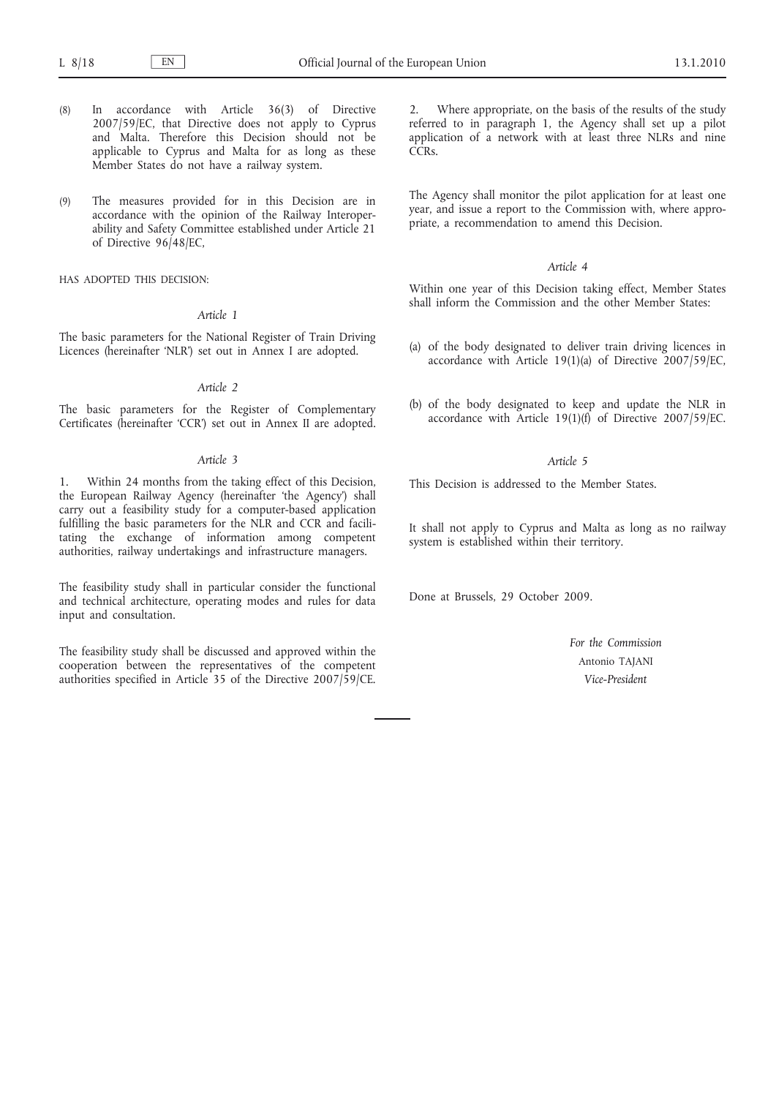- (8) In accordance with Article 36(3) of Directive 2007/59/EC, that Directive does not apply to Cyprus and Malta. Therefore this Decision should not be applicable to Cyprus and Malta for as long as these Member States do not have a railway system.
- (9) The measures provided for in this Decision are in accordance with the opinion of the Railway Interoperability and Safety Committee established under Article 21 of Directive 96/48/EC,

HAS ADOPTED THIS DECISION:

## *Article 1*

The basic parameters for the National Register of Train Driving Licences (hereinafter 'NLR') set out in Annex I are adopted.

## *Article 2*

The basic parameters for the Register of Complementary Certificates (hereinafter 'CCR') set out in Annex II are adopted.

### *Article 3*

1. Within 24 months from the taking effect of this Decision, the European Railway Agency (hereinafter 'the Agency') shall carry out a feasibility study for a computer-based application fulfilling the basic parameters for the NLR and CCR and facilitating the exchange of information among competent authorities, railway undertakings and infrastructure managers.

The feasibility study shall in particular consider the functional and technical architecture, operating modes and rules for data input and consultation.

The feasibility study shall be discussed and approved within the cooperation between the representatives of the competent authorities specified in Article 35 of the Directive 2007/59/CE.

Where appropriate, on the basis of the results of the study referred to in paragraph 1, the Agency shall set up a pilot application of a network with at least three NLRs and nine C<sub>CRs</sub>

The Agency shall monitor the pilot application for at least one year, and issue a report to the Commission with, where appropriate, a recommendation to amend this Decision.

## *Article 4*

Within one year of this Decision taking effect, Member States shall inform the Commission and the other Member States:

- (a) of the body designated to deliver train driving licences in accordance with Article 19(1)(a) of Directive 2007/59/EC,
- (b) of the body designated to keep and update the NLR in accordance with Article  $19(1)(f)$  of Directive 2007/59/EC.

## *Article 5*

This Decision is addressed to the Member States.

It shall not apply to Cyprus and Malta as long as no railway system is established within their territory.

Done at Brussels, 29 October 2009.

*For the Commission* Antonio TAJANI *Vice-President*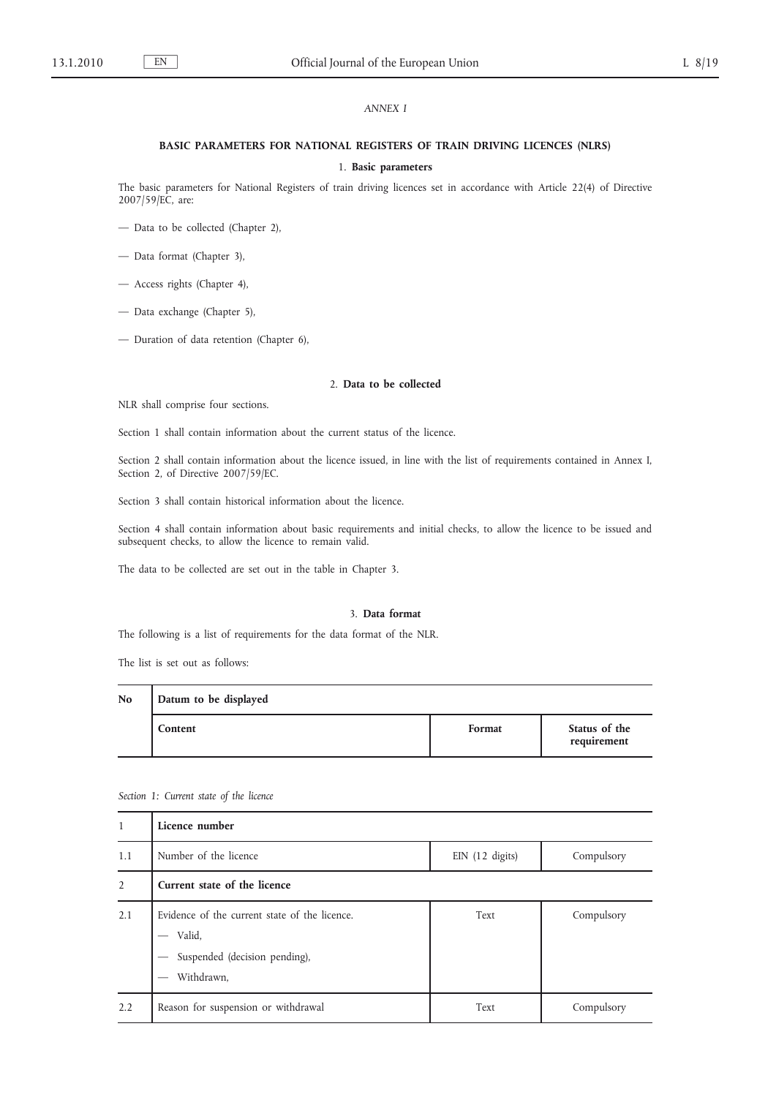## *ANNEX I*

## **BASIC PARAMETERS FOR NATIONAL REGISTERS OF TRAIN DRIVING LICENCES (NLRS)**

## 1. **Basic parameters**

The basic parameters for National Registers of train driving licences set in accordance with Article 22(4) of Directive 2007/59/EC, are:

- Data to be collected (Chapter 2),
- Data format (Chapter 3),
- Access rights (Chapter 4),
- Data exchange (Chapter 5),
- Duration of data retention (Chapter 6),

## 2. **Data to be collected**

NLR shall comprise four sections.

Section 1 shall contain information about the current status of the licence.

Section 2 shall contain information about the licence issued, in line with the list of requirements contained in Annex I, Section 2, of Directive 2007/59/EC.

Section 3 shall contain historical information about the licence.

Section 4 shall contain information about basic requirements and initial checks, to allow the licence to be issued and subsequent checks, to allow the licence to remain valid.

The data to be collected are set out in the table in Chapter 3.

## 3. **Data format**

The following is a list of requirements for the data format of the NLR.

The list is set out as follows:

| N <sub>o</sub> | Datum to be displayed |        |                              |  |
|----------------|-----------------------|--------|------------------------------|--|
|                | Content               | Format | Status of the<br>requirement |  |

| 1              | Licence number                                                                                         |                   |            |
|----------------|--------------------------------------------------------------------------------------------------------|-------------------|------------|
| 1.1            | Number of the licence                                                                                  | $EIN$ (12 digits) | Compulsory |
| $\overline{2}$ | Current state of the licence                                                                           |                   |            |
| 2.1            | Evidence of the current state of the licence.<br>Valid.<br>Suspended (decision pending),<br>Withdrawn, | Text              | Compulsory |
| 2.2            | Reason for suspension or withdrawal                                                                    | Text              | Compulsory |

*Section 1: Current state of the licence*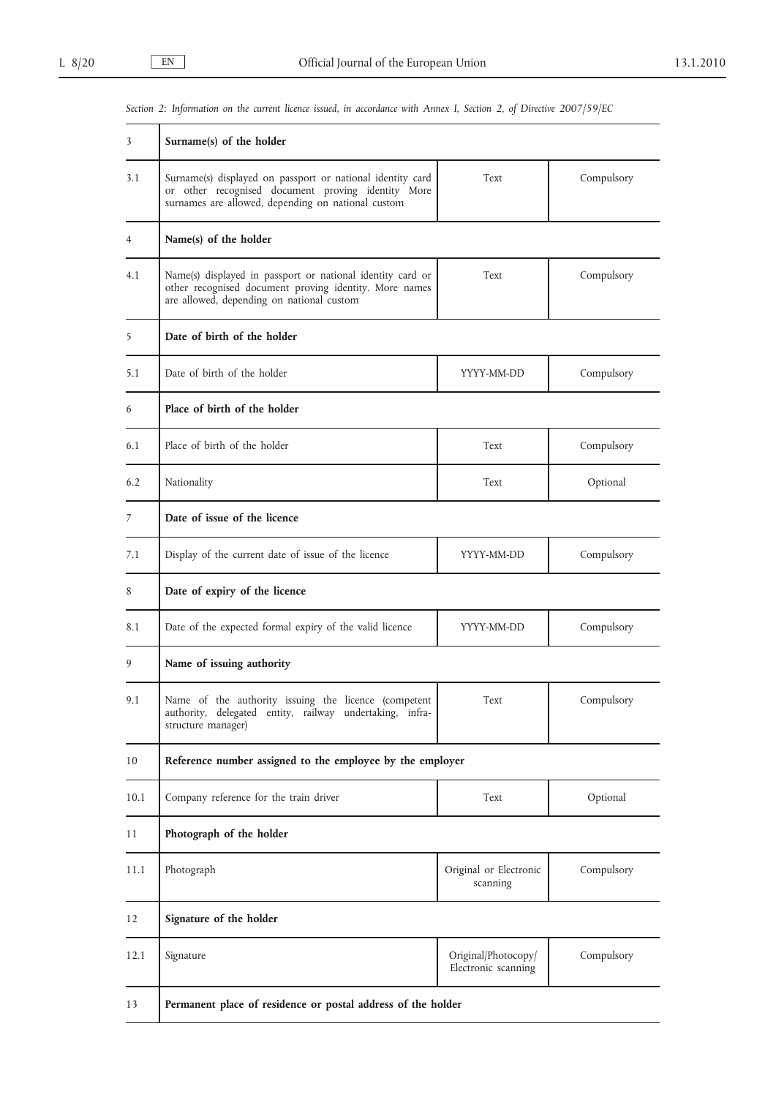| 3    | Surname $(s)$ of the holder                                                                                                                                            |                                            |            |  |
|------|------------------------------------------------------------------------------------------------------------------------------------------------------------------------|--------------------------------------------|------------|--|
| 3.1  | Surname(s) displayed on passport or national identity card<br>or other recognised document proving identity More<br>surnames are allowed, depending on national custom | Text                                       | Compulsory |  |
| 4    | Name(s) of the holder                                                                                                                                                  |                                            |            |  |
| 4.1  | Name(s) displayed in passport or national identity card or<br>other recognised document proving identity. More names<br>are allowed, depending on national custom      | Text                                       | Compulsory |  |
| 5    | Date of birth of the holder                                                                                                                                            |                                            |            |  |
| 5.1  | Date of birth of the holder                                                                                                                                            | YYYY-MM-DD                                 | Compulsory |  |
| 6    | Place of birth of the holder                                                                                                                                           |                                            |            |  |
| 6.1  | Place of birth of the holder                                                                                                                                           | Text                                       | Compulsory |  |
| 6.2  | Nationality                                                                                                                                                            | Text                                       | Optional   |  |
| 7    | Date of issue of the licence                                                                                                                                           |                                            |            |  |
| 7.1  | Display of the current date of issue of the licence                                                                                                                    | YYYY-MM-DD                                 | Compulsory |  |
| 8    | Date of expiry of the licence                                                                                                                                          |                                            |            |  |
| 8.1  | Date of the expected formal expiry of the valid licence                                                                                                                | YYYY-MM-DD                                 | Compulsory |  |
| 9    | Name of issuing authority                                                                                                                                              |                                            |            |  |
| 9.1  | Name of the authority issuing the licence (competent<br>authority, delegated entity, railway undertaking, infra-<br>structure manager)                                 | Text                                       | Compulsory |  |
| 10   | Reference number assigned to the employee by the employer                                                                                                              |                                            |            |  |
| 10.1 | Company reference for the train driver                                                                                                                                 | Text                                       | Optional   |  |
| 11   | Photograph of the holder                                                                                                                                               |                                            |            |  |
| 11.1 | Photograph                                                                                                                                                             | Original or Electronic<br>scanning         | Compulsory |  |
| 12   | Signature of the holder                                                                                                                                                |                                            |            |  |
| 12.1 | Signature                                                                                                                                                              | Original/Photocopy/<br>Electronic scanning | Compulsory |  |
| 13   | Permanent place of residence or postal address of the holder                                                                                                           |                                            |            |  |

*Section 2: Information on the current licence issued, in accordance with Annex I, Section 2, of Directive 2007/59/EC*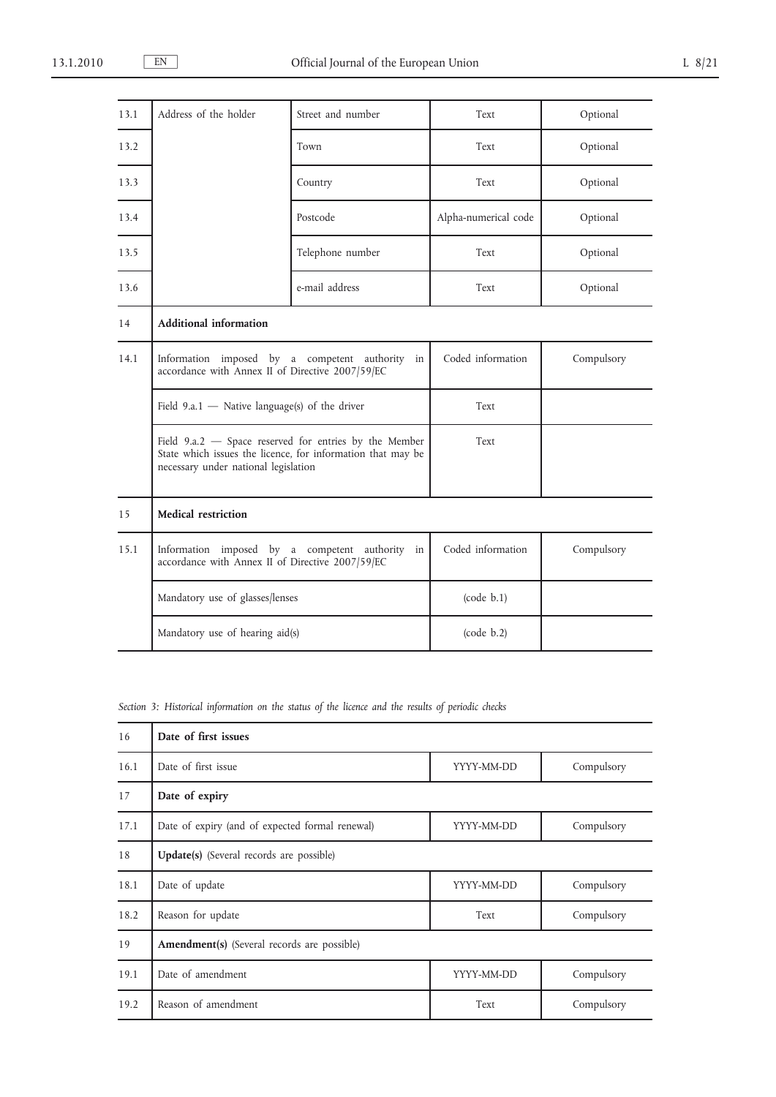| 13.1 | Address of the holder                                                                            | Street and number                                                                                                       | Text                 | Optional   |
|------|--------------------------------------------------------------------------------------------------|-------------------------------------------------------------------------------------------------------------------------|----------------------|------------|
| 13.2 |                                                                                                  | Town                                                                                                                    | Text                 | Optional   |
| 13.3 |                                                                                                  | Country                                                                                                                 | Text                 | Optional   |
| 13.4 |                                                                                                  | Postcode                                                                                                                | Alpha-numerical code | Optional   |
| 13.5 |                                                                                                  | Telephone number                                                                                                        | Text                 | Optional   |
| 13.6 |                                                                                                  | e-mail address                                                                                                          | Text                 | Optional   |
| 14   | <b>Additional information</b>                                                                    |                                                                                                                         |                      |            |
| 14.1 | Information imposed by a competent authority<br>accordance with Annex II of Directive 2007/59/EC | in                                                                                                                      | Coded information    | Compulsory |
|      | Field 9.a.1 $-$ Native language(s) of the driver                                                 |                                                                                                                         | Text                 |            |
|      | necessary under national legislation                                                             | Field $9.a.2$ – Space reserved for entries by the Member<br>State which issues the licence, for information that may be | Text                 |            |
| 15   | <b>Medical restriction</b>                                                                       |                                                                                                                         |                      |            |
| 15.1 | accordance with Annex II of Directive 2007/59/EC                                                 | Information imposed by a competent authority in                                                                         | Coded information    | Compulsory |
|      | Mandatory use of glasses/lenses                                                                  |                                                                                                                         | (code b.1)           |            |
|      | Mandatory use of hearing aid(s)                                                                  |                                                                                                                         | (code b.2)           |            |

*Section 3: Historical information on the status of the licence and the results of periodic checks*

| 16   | Date of first issues                            |            |            |
|------|-------------------------------------------------|------------|------------|
| 16.1 | Date of first issue                             | YYYY-MM-DD | Compulsory |
| 17   | Date of expiry                                  |            |            |
| 17.1 | Date of expiry (and of expected formal renewal) | YYYY-MM-DD | Compulsory |
| 18   | <b>Update(s)</b> (Several records are possible) |            |            |
| 18.1 | Date of update                                  | YYYY-MM-DD | Compulsory |
| 18.2 | Reason for update                               | Text       | Compulsory |
| 19   | Amendment(s) (Several records are possible)     |            |            |
| 19.1 | Date of amendment                               | YYYY-MM-DD | Compulsory |
| 19.2 | Reason of amendment                             | Text       | Compulsory |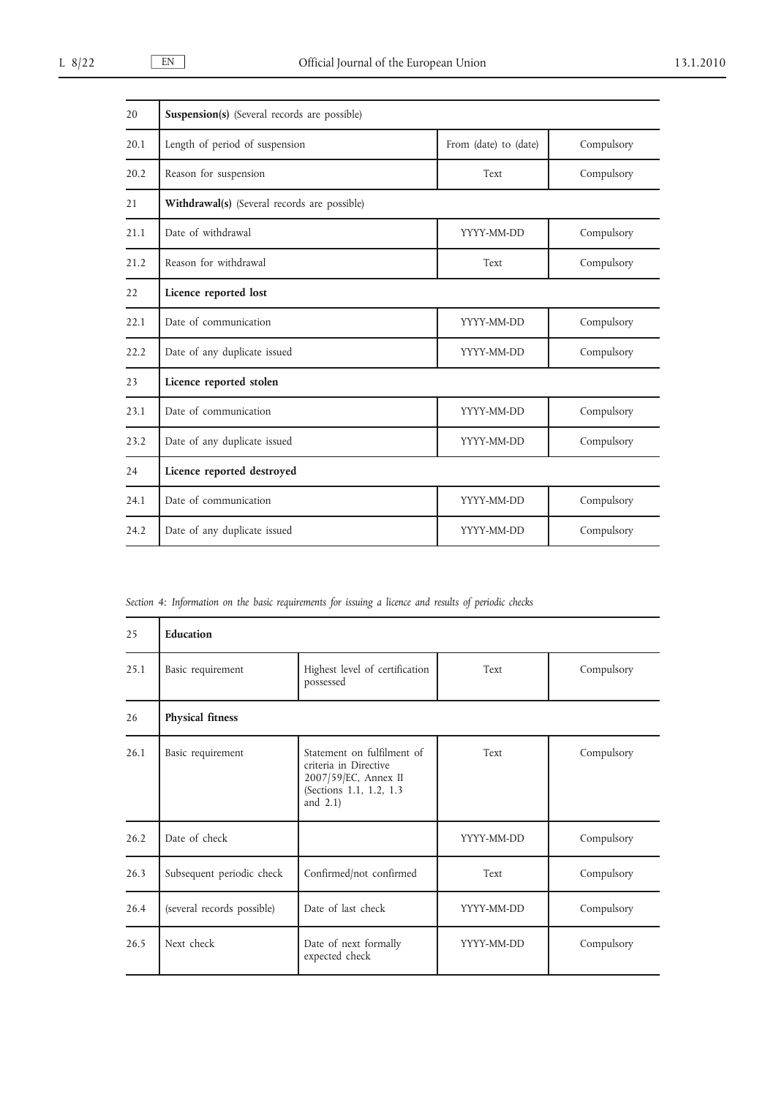| 20   | <b>Suspension(s)</b> (Several records are possible) |                       |            |
|------|-----------------------------------------------------|-----------------------|------------|
| 20.1 | Length of period of suspension                      | From (date) to (date) | Compulsory |
| 20.2 | Reason for suspension                               | Text                  | Compulsory |
| 21   | Withdrawal(s) (Several records are possible)        |                       |            |
| 21.1 | Date of withdrawal                                  | YYYY-MM-DD            | Compulsory |
| 21.2 | Reason for withdrawal                               | Text                  | Compulsory |
| 22   | Licence reported lost                               |                       |            |
| 22.1 | Date of communication                               | YYYY-MM-DD            | Compulsory |
| 22.2 | Date of any duplicate issued                        | YYYY-MM-DD            | Compulsory |
| 23   | Licence reported stolen                             |                       |            |
| 23.1 | Date of communication                               | YYYY-MM-DD            | Compulsory |
| 23.2 | Date of any duplicate issued                        | YYYY-MM-DD            | Compulsory |
| 24   | Licence reported destroyed                          |                       |            |
| 24.1 | Date of communication                               | YYYY-MM-DD            | Compulsory |
| 24.2 | Date of any duplicate issued                        | YYYY-MM-DD            | Compulsory |

*Section 4: Information on the basic requirements for issuing a licence and results of periodic checks*

| 25   | Education                  |                                                                                                                       |            |            |
|------|----------------------------|-----------------------------------------------------------------------------------------------------------------------|------------|------------|
| 25.1 | Basic requirement          | Highest level of certification<br>possessed                                                                           | Text       | Compulsory |
| 26   | <b>Physical fitness</b>    |                                                                                                                       |            |            |
| 26.1 | Basic requirement          | Statement on fulfilment of<br>criteria in Directive<br>2007/59/EC, Annex II<br>(Sections 1.1, 1.2, 1.3<br>and $2.1$ ) | Text       | Compulsory |
| 26.2 | Date of check              |                                                                                                                       | YYYY-MM-DD | Compulsory |
| 26.3 | Subsequent periodic check  | Confirmed/not confirmed                                                                                               | Text       | Compulsory |
| 26.4 | (several records possible) | Date of last check                                                                                                    | YYYY-MM-DD | Compulsory |
| 26.5 | Next check                 | Date of next formally<br>expected check                                                                               | YYYY-MM-DD | Compulsory |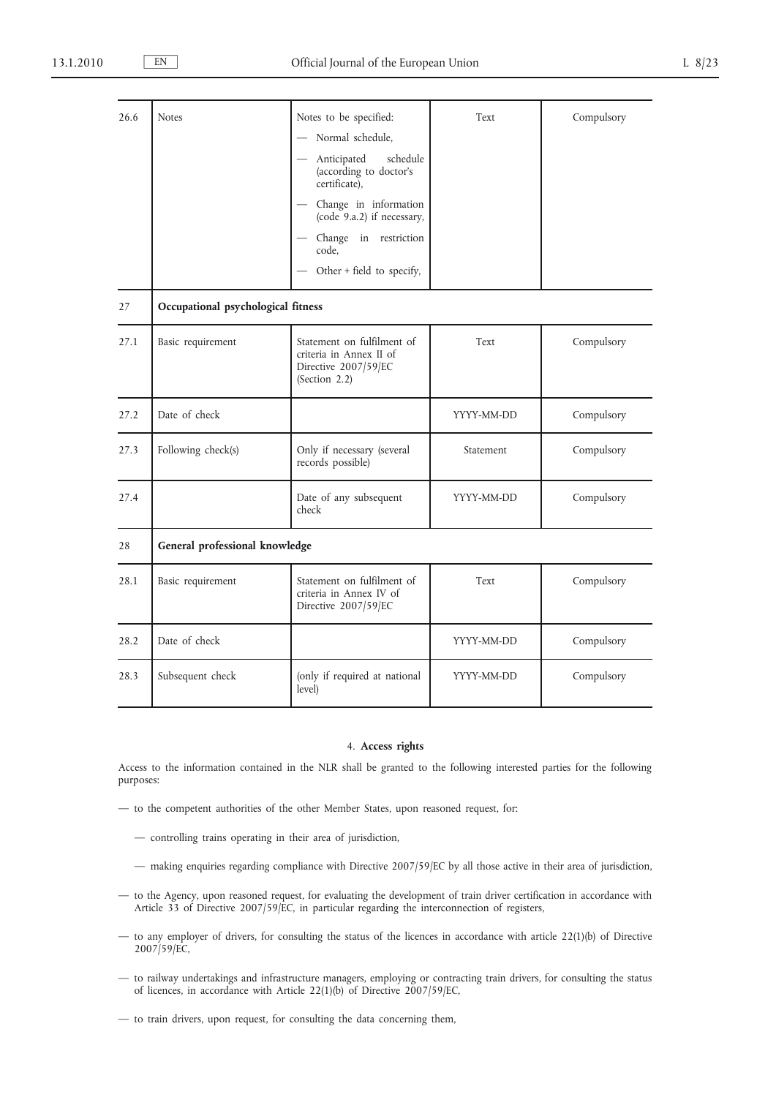| 26.6 | <b>Notes</b>                       | Notes to be specified:                                                                         | Text       | Compulsory |
|------|------------------------------------|------------------------------------------------------------------------------------------------|------------|------------|
|      |                                    | Normal schedule,                                                                               |            |            |
|      |                                    | Anticipated<br>schedule<br>(according to doctor's<br>certificate),                             |            |            |
|      |                                    | Change in information<br>(code 9.a.2) if necessary,                                            |            |            |
|      |                                    | Change in restriction<br>code,                                                                 |            |            |
|      |                                    | Other + field to specify,                                                                      |            |            |
| 27   | Occupational psychological fitness |                                                                                                |            |            |
| 27.1 | Basic requirement                  | Statement on fulfilment of<br>criteria in Annex II of<br>Directive 2007/59/EC<br>(Section 2.2) | Text       | Compulsory |
| 27.2 | Date of check                      |                                                                                                | YYYY-MM-DD | Compulsory |
| 27.3 | Following check(s)                 | Only if necessary (several<br>records possible)                                                | Statement  | Compulsory |
| 27.4 |                                    | Date of any subsequent<br>check                                                                | YYYY-MM-DD | Compulsory |
| 28   | General professional knowledge     |                                                                                                |            |            |
| 28.1 | Basic requirement                  | Statement on fulfilment of<br>criteria in Annex IV of<br>Directive 2007/59/EC                  | Text       | Compulsory |
| 28.2 | Date of check                      |                                                                                                | YYYY-MM-DD | Compulsory |
| 28.3 | Subsequent check                   | (only if required at national<br>level)                                                        | YYYY-MM-DD | Compulsory |

## 4. **Access rights**

Access to the information contained in the NLR shall be granted to the following interested parties for the following purposes:

- to the competent authorities of the other Member States, upon reasoned request, for:
	- controlling trains operating in their area of jurisdiction,
	- making enquiries regarding compliance with Directive 2007/59/EC by all those active in their area of jurisdiction,
- to the Agency, upon reasoned request, for evaluating the development of train driver certification in accordance with Article 33 of Directive 2007/59/EC, in particular regarding the interconnection of registers,
- to any employer of drivers, for consulting the status of the licences in accordance with article 22(1)(b) of Directive 2007/59/EC,
- to railway undertakings and infrastructure managers, employing or contracting train drivers, for consulting the status of licences, in accordance with Article 22(1)(b) of Directive 2007/59/EC,
- to train drivers, upon request, for consulting the data concerning them,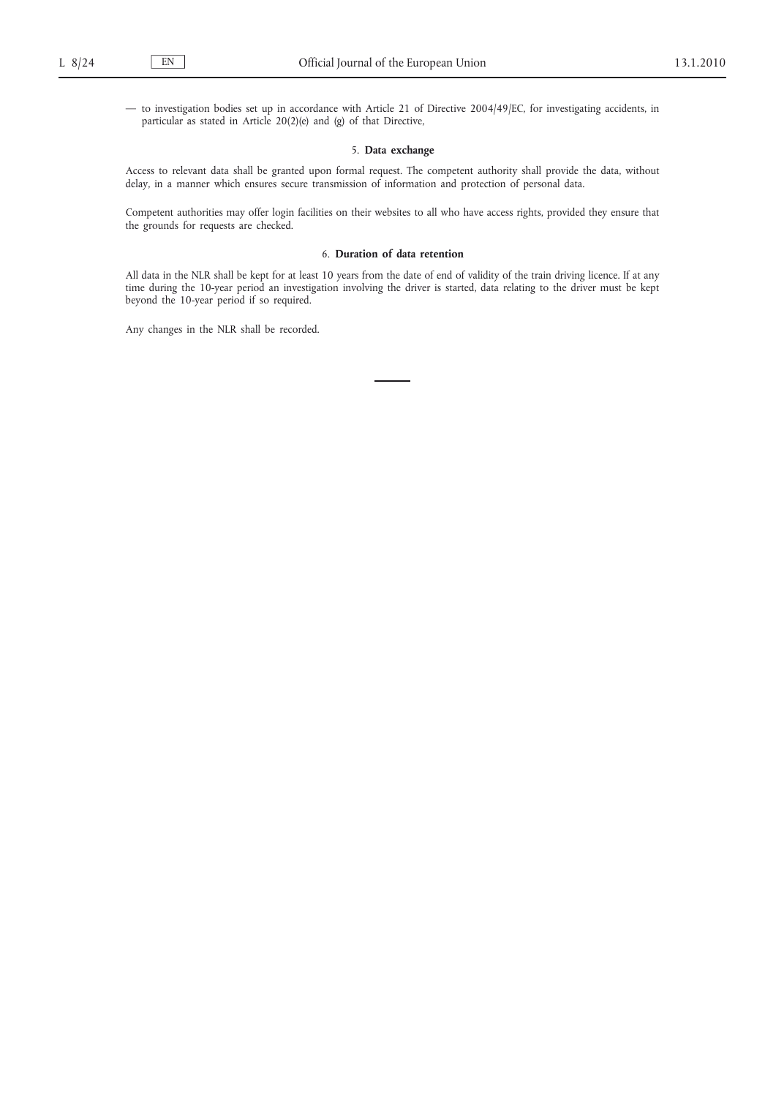— to investigation bodies set up in accordance with Article 21 of Directive 2004/49/EC, for investigating accidents, in particular as stated in Article  $20(2)(e)$  and (g) of that Directive,

## 5. **Data exchange**

Access to relevant data shall be granted upon formal request. The competent authority shall provide the data, without delay, in a manner which ensures secure transmission of information and protection of personal data.

Competent authorities may offer login facilities on their websites to all who have access rights, provided they ensure that the grounds for requests are checked.

# 6. **Duration of data retention**

All data in the NLR shall be kept for at least 10 years from the date of end of validity of the train driving licence. If at any time during the 10-year period an investigation involving the driver is started, data relating to the driver must be kept beyond the 10-year period if so required.

Any changes in the NLR shall be recorded.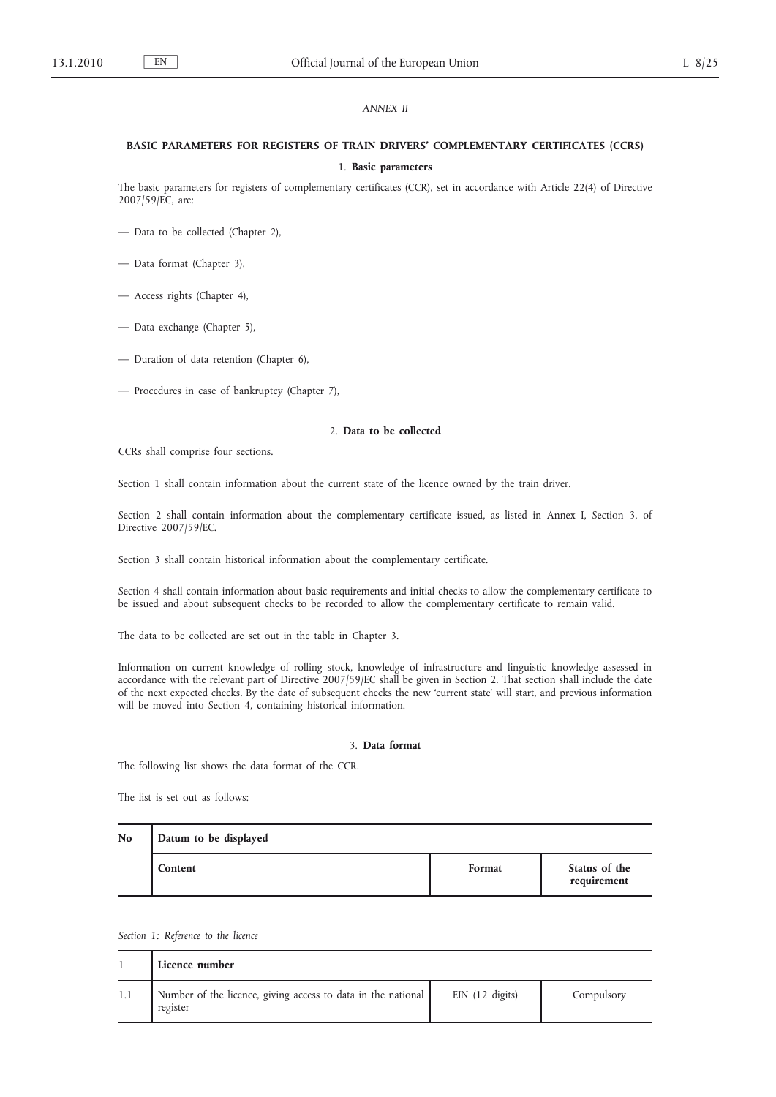## *ANNEX II*

# **BASIC PARAMETERS FOR REGISTERS OF TRAIN DRIVERS' COMPLEMENTARY CERTIFICATES (CCRS)**

## 1. **Basic parameters**

The basic parameters for registers of complementary certificates (CCR), set in accordance with Article 22(4) of Directive 2007/59/EC, are:

- Data to be collected (Chapter 2),
- Data format (Chapter 3),
- Access rights (Chapter 4),
- Data exchange (Chapter 5),
- Duration of data retention (Chapter 6),
- Procedures in case of bankruptcy (Chapter 7),

#### 2. **Data to be collected**

CCRs shall comprise four sections.

Section 1 shall contain information about the current state of the licence owned by the train driver.

Section 2 shall contain information about the complementary certificate issued, as listed in Annex I, Section 3, of Directive 2007/59/EC.

Section 3 shall contain historical information about the complementary certificate.

Section 4 shall contain information about basic requirements and initial checks to allow the complementary certificate to be issued and about subsequent checks to be recorded to allow the complementary certificate to remain valid.

The data to be collected are set out in the table in Chapter 3.

Information on current knowledge of rolling stock, knowledge of infrastructure and linguistic knowledge assessed in accordance with the relevant part of Directive 2007/59/EC shall be given in Section 2. That section shall include the date of the next expected checks. By the date of subsequent checks the new 'current state' will start, and previous information will be moved into Section 4, containing historical information.

#### 3. **Data format**

The following list shows the data format of the CCR.

The list is set out as follows:

| N <sub>0</sub> | Datum to be displayed |        |                              |  |
|----------------|-----------------------|--------|------------------------------|--|
|                | Content               | Format | Status of the<br>requirement |  |

*Section 1: Reference to the licence*

| Licence number                                                           |                   |            |
|--------------------------------------------------------------------------|-------------------|------------|
| Number of the licence, giving access to data in the national<br>register | $EIN$ (12 digits) | Compulsory |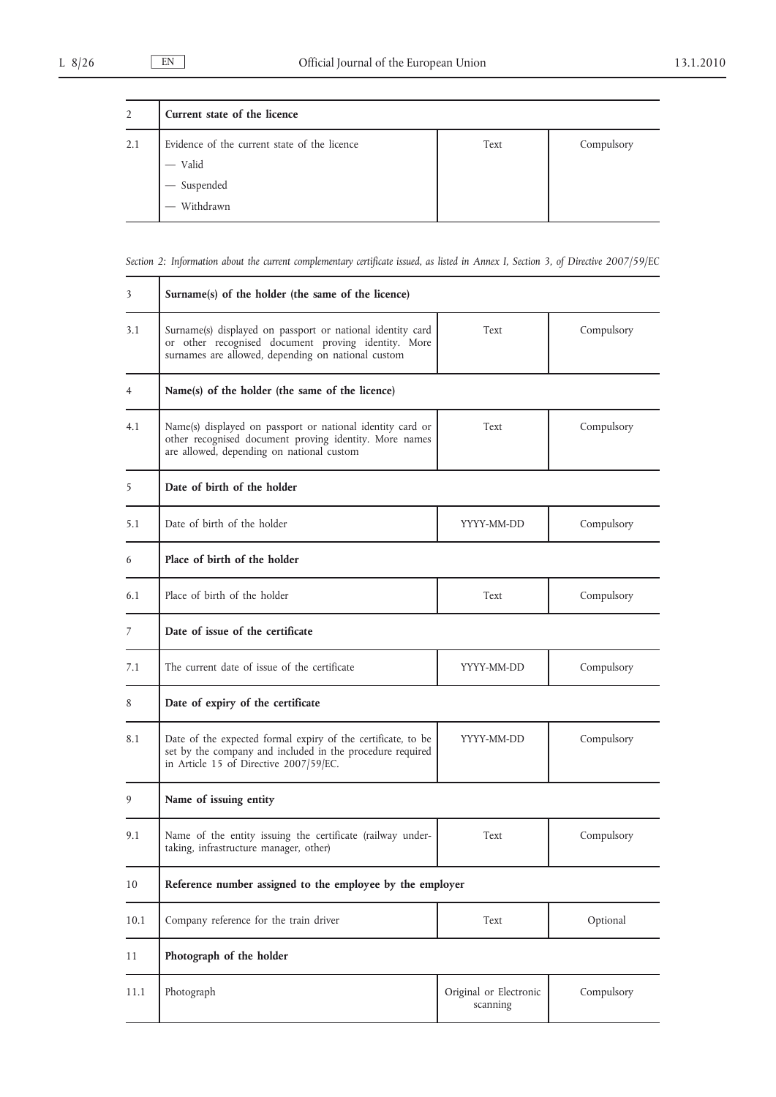| $\overline{2}$ | Current state of the licence                                                                                                     |      |            |  |
|----------------|----------------------------------------------------------------------------------------------------------------------------------|------|------------|--|
| 2.1            | Evidence of the current state of the licence<br>- Valid<br>$\begin{aligned} \begin{array}{c} \text{-} \end{array} \end{aligned}$ | Text | Compulsory |  |
|                | Withdrawn                                                                                                                        |      |            |  |

*Section 2: Information about the current complementary certificate issued, as listed in Annex I, Section 3, of Directive 2007/59/EC*

| 3    | Surname(s) of the holder (the same of the licence)                                                                                                                      |                                    |            |
|------|-------------------------------------------------------------------------------------------------------------------------------------------------------------------------|------------------------------------|------------|
| 3.1  | Surname(s) displayed on passport or national identity card<br>or other recognised document proving identity. More<br>surnames are allowed, depending on national custom | Text                               | Compulsory |
| 4    | Name(s) of the holder (the same of the licence)                                                                                                                         |                                    |            |
| 4.1  | Name(s) displayed on passport or national identity card or<br>other recognised document proving identity. More names<br>are allowed, depending on national custom       | Text                               | Compulsory |
| 5    | Date of birth of the holder                                                                                                                                             |                                    |            |
| 5.1  | Date of birth of the holder                                                                                                                                             | YYYY-MM-DD                         | Compulsory |
| 6    | Place of birth of the holder                                                                                                                                            |                                    |            |
| 6.1  | Place of birth of the holder                                                                                                                                            | Text                               | Compulsory |
| 7    | Date of issue of the certificate                                                                                                                                        |                                    |            |
| 7.1  | The current date of issue of the certificate                                                                                                                            | YYYY-MM-DD                         | Compulsory |
| 8    | Date of expiry of the certificate                                                                                                                                       |                                    |            |
| 8.1  | Date of the expected formal expiry of the certificate, to be<br>set by the company and included in the procedure required<br>in Article 15 of Directive 2007/59/EC.     | YYYY-MM-DD                         | Compulsory |
| 9    | Name of issuing entity                                                                                                                                                  |                                    |            |
| 9.1  | Name of the entity issuing the certificate (railway under-<br>taking, infrastructure manager, other)                                                                    | Text                               | Compulsory |
| 10   | Reference number assigned to the employee by the employer                                                                                                               |                                    |            |
| 10.1 | Company reference for the train driver                                                                                                                                  | Text                               | Optional   |
| 11   | Photograph of the holder                                                                                                                                                |                                    |            |
| 11.1 | Photograph                                                                                                                                                              | Original or Electronic<br>scanning | Compulsory |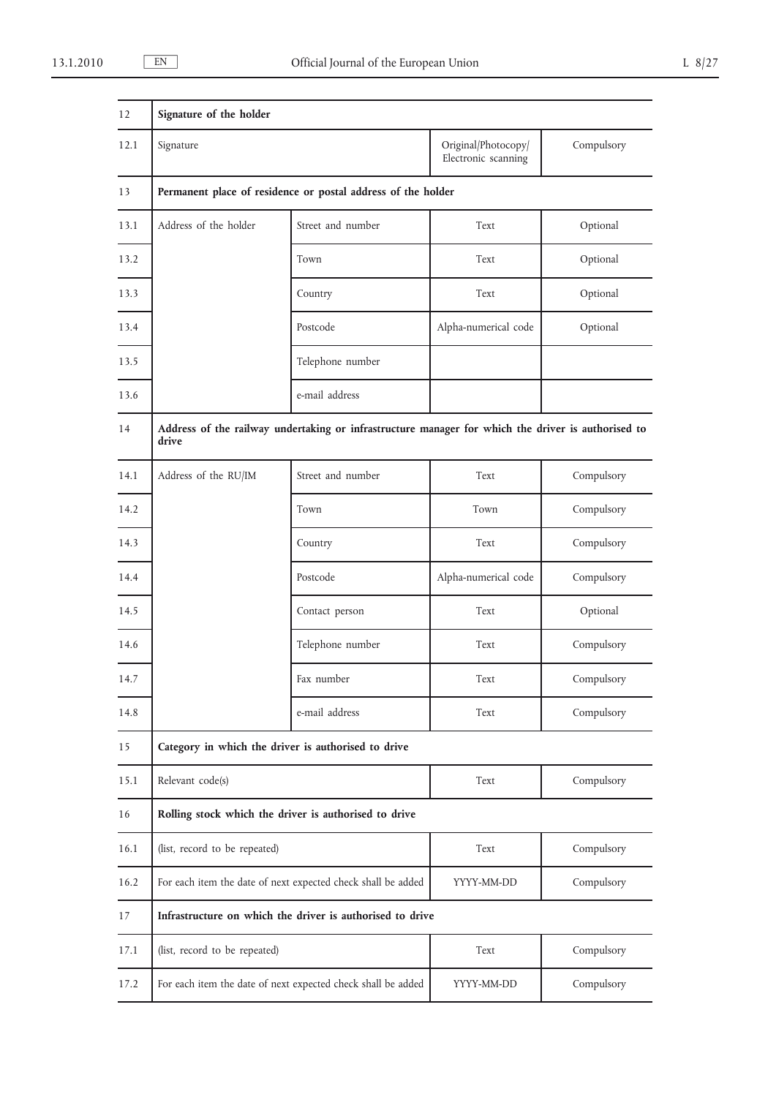| 12   | Signature of the holder                                                                                     |                   |                                            |            |
|------|-------------------------------------------------------------------------------------------------------------|-------------------|--------------------------------------------|------------|
| 12.1 | Signature                                                                                                   |                   | Original/Photocopy/<br>Electronic scanning | Compulsory |
| 13   | Permanent place of residence or postal address of the holder                                                |                   |                                            |            |
| 13.1 | Address of the holder                                                                                       | Street and number | Text                                       | Optional   |
| 13.2 |                                                                                                             | Town              | Text                                       | Optional   |
| 13.3 |                                                                                                             | Country           | Text                                       | Optional   |
| 13.4 |                                                                                                             | Postcode          | Alpha-numerical code                       | Optional   |
| 13.5 |                                                                                                             | Telephone number  |                                            |            |
| 13.6 |                                                                                                             | e-mail address    |                                            |            |
| 14   | Address of the railway undertaking or infrastructure manager for which the driver is authorised to<br>drive |                   |                                            |            |
| 14.1 | Address of the RU/IM                                                                                        | Street and number | Text                                       | Compulsory |
| 14.2 |                                                                                                             | Town              | Town                                       | Compulsory |
| 14.3 |                                                                                                             | Country           | Text                                       | Compulsory |
| 14.4 |                                                                                                             | Postcode          | Alpha-numerical code                       | Compulsory |
| 14.5 |                                                                                                             | Contact person    | Text                                       | Optional   |
| 14.6 |                                                                                                             | Telephone number  | Text                                       | Compulsory |
| 14.7 |                                                                                                             | Fax number        | Text                                       | Compulsory |
| 14.8 |                                                                                                             | e-mail address    | Text                                       | Compulsory |
| 15   | Category in which the driver is authorised to drive                                                         |                   |                                            |            |
| 15.1 | Relevant code(s)                                                                                            |                   | Text                                       | Compulsory |
| 16   | Rolling stock which the driver is authorised to drive                                                       |                   |                                            |            |
| 16.1 | (list, record to be repeated)                                                                               |                   | Text                                       | Compulsory |
| 16.2 | For each item the date of next expected check shall be added                                                |                   | YYYY-MM-DD                                 | Compulsory |
| 17   | Infrastructure on which the driver is authorised to drive                                                   |                   |                                            |            |
| 17.1 | (list, record to be repeated)                                                                               |                   | Text                                       | Compulsory |
| 17.2 | For each item the date of next expected check shall be added                                                |                   | YYYY-MM-DD                                 | Compulsory |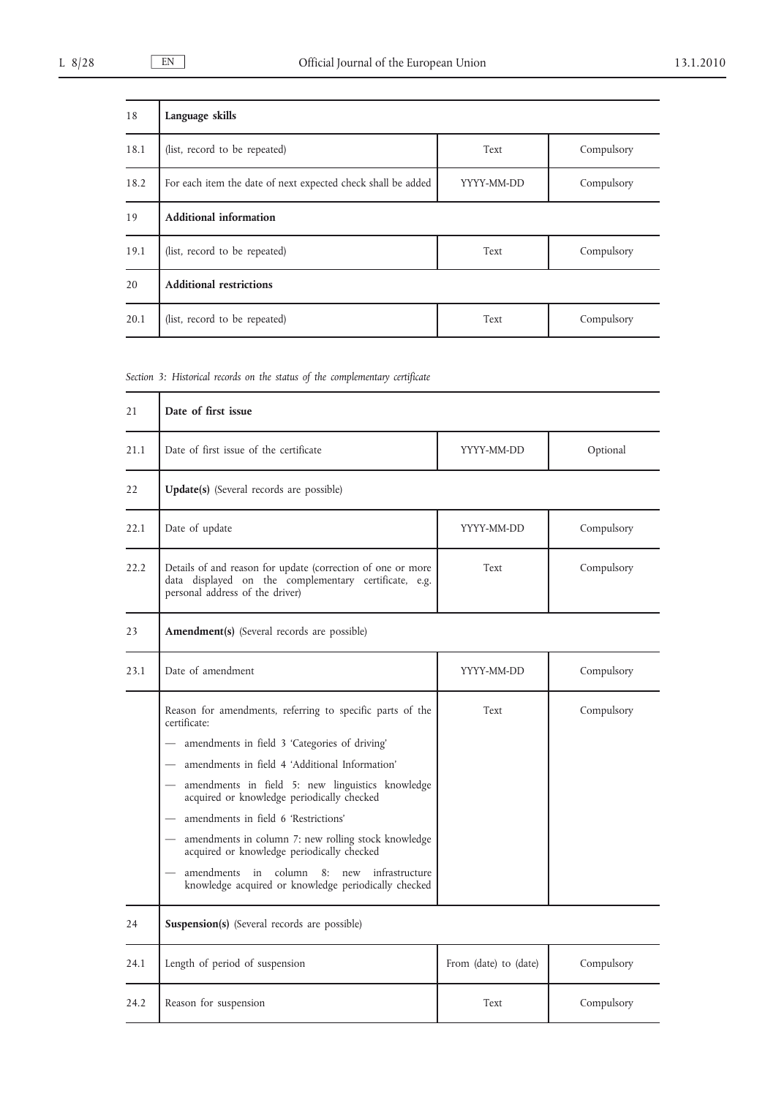| 18   | Language skills                                              |            |            |
|------|--------------------------------------------------------------|------------|------------|
| 18.1 | (list, record to be repeated)                                | Text       | Compulsory |
| 18.2 | For each item the date of next expected check shall be added | YYYY-MM-DD | Compulsory |
| 19   | <b>Additional information</b>                                |            |            |
| 19.1 | (list, record to be repeated)                                | Text       | Compulsory |
| 20   | <b>Additional restrictions</b>                               |            |            |
| 20.1 | (list, record to be repeated)                                | Text       | Compulsory |

*Section 3: Historical records on the status of the complementary certificate*

| 21   | Date of first issue                                                                                                                                     |                       |            |
|------|---------------------------------------------------------------------------------------------------------------------------------------------------------|-----------------------|------------|
| 21.1 | Date of first issue of the certificate                                                                                                                  | YYYY-MM-DD            | Optional   |
| 22   | <b>Update(s)</b> (Several records are possible)                                                                                                         |                       |            |
| 22.1 | Date of update                                                                                                                                          | YYYY-MM-DD            | Compulsory |
| 22.2 | Details of and reason for update (correction of one or more<br>data displayed on the complementary certificate, e.g.<br>personal address of the driver) | Text                  | Compulsory |
| 23   | Amendment(s) (Several records are possible)                                                                                                             |                       |            |
| 23.1 | Date of amendment                                                                                                                                       | YYYY-MM-DD            | Compulsory |
|      | Reason for amendments, referring to specific parts of the<br>certificate:                                                                               | Text                  | Compulsory |
|      | amendments in field 3 'Categories of driving'                                                                                                           |                       |            |
|      | amendments in field 4 'Additional Information'                                                                                                          |                       |            |
|      | amendments in field 5: new linguistics knowledge<br>acquired or knowledge periodically checked                                                          |                       |            |
|      | amendments in field 6 'Restrictions'                                                                                                                    |                       |            |
|      | amendments in column 7: new rolling stock knowledge<br>acquired or knowledge periodically checked                                                       |                       |            |
|      | amendments in column<br>$8:$ new<br>infrastructure<br>knowledge acquired or knowledge periodically checked                                              |                       |            |
| 24   | Suspension(s) (Several records are possible)                                                                                                            |                       |            |
| 24.1 | Length of period of suspension                                                                                                                          | From (date) to (date) | Compulsory |
| 24.2 | Reason for suspension                                                                                                                                   | Text                  | Compulsory |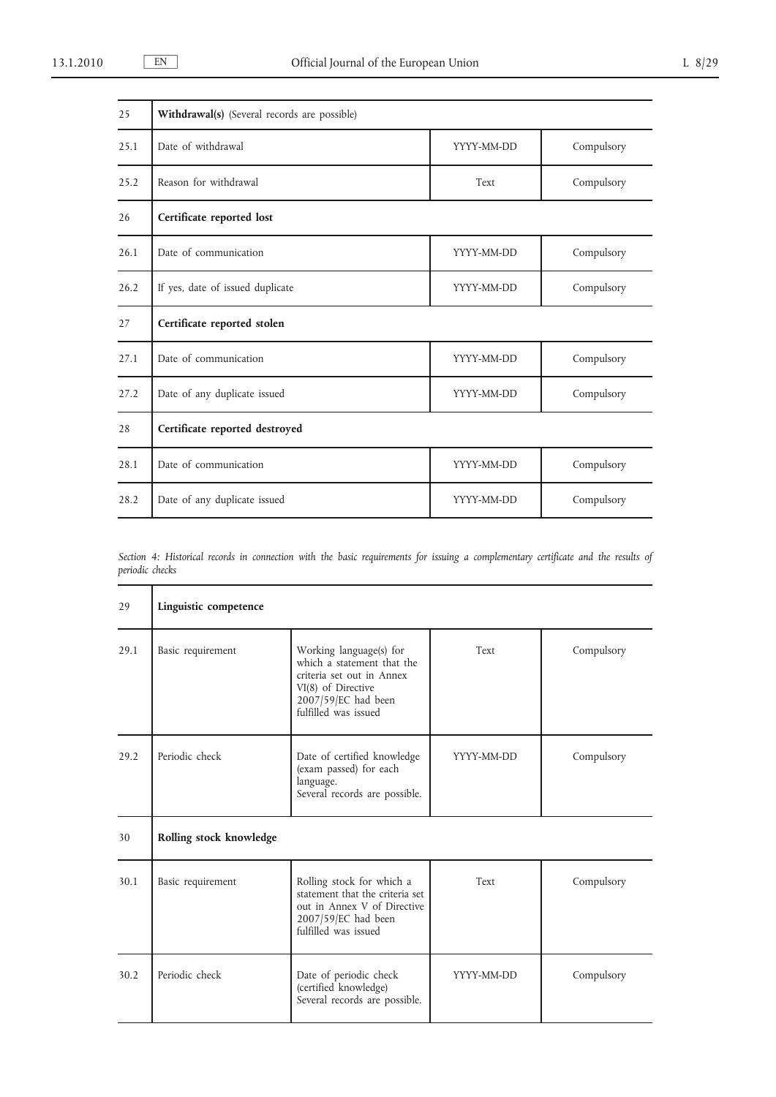| 25   | Withdrawal(s) (Several records are possible) |            |            |
|------|----------------------------------------------|------------|------------|
| 25.1 | Date of withdrawal                           | YYYY-MM-DD | Compulsory |
| 25.2 | Reason for withdrawal                        | Text       | Compulsory |
| 26   | Certificate reported lost                    |            |            |
| 26.1 | Date of communication                        | YYYY-MM-DD | Compulsory |
| 26.2 | If yes, date of issued duplicate             | YYYY-MM-DD | Compulsory |
| 27   | Certificate reported stolen                  |            |            |
| 27.1 | Date of communication                        | YYYY-MM-DD | Compulsory |
| 27.2 | Date of any duplicate issued                 | YYYY-MM-DD | Compulsory |
| 28   | Certificate reported destroyed               |            |            |
| 28.1 | Date of communication                        | YYYY-MM-DD | Compulsory |
| 28.2 | Date of any duplicate issued                 | YYYY-MM-DD | Compulsory |

*Section 4: Historical records in connection with the basic requirements for issuing a complementary certificate and the results of periodic checks*

| 29   | Linguistic competence   |                                                                                                                                                         |            |            |
|------|-------------------------|---------------------------------------------------------------------------------------------------------------------------------------------------------|------------|------------|
| 29.1 | Basic requirement       | Working language(s) for<br>which a statement that the<br>criteria set out in Annex<br>VI(8) of Directive<br>2007/59/EC had been<br>fulfilled was issued | Text       | Compulsory |
| 29.2 | Periodic check          | Date of certified knowledge<br>(exam passed) for each<br>language.<br>Several records are possible.                                                     | YYYY-MM-DD | Compulsory |
| 30   | Rolling stock knowledge |                                                                                                                                                         |            |            |
| 30.1 | Basic requirement       | Rolling stock for which a<br>statement that the criteria set<br>out in Annex V of Directive<br>2007/59/EC had been<br>fulfilled was issued              | Text       | Compulsory |
| 30.2 | Periodic check          | Date of periodic check<br>(certified knowledge)<br>Several records are possible.                                                                        | YYYY-MM-DD | Compulsory |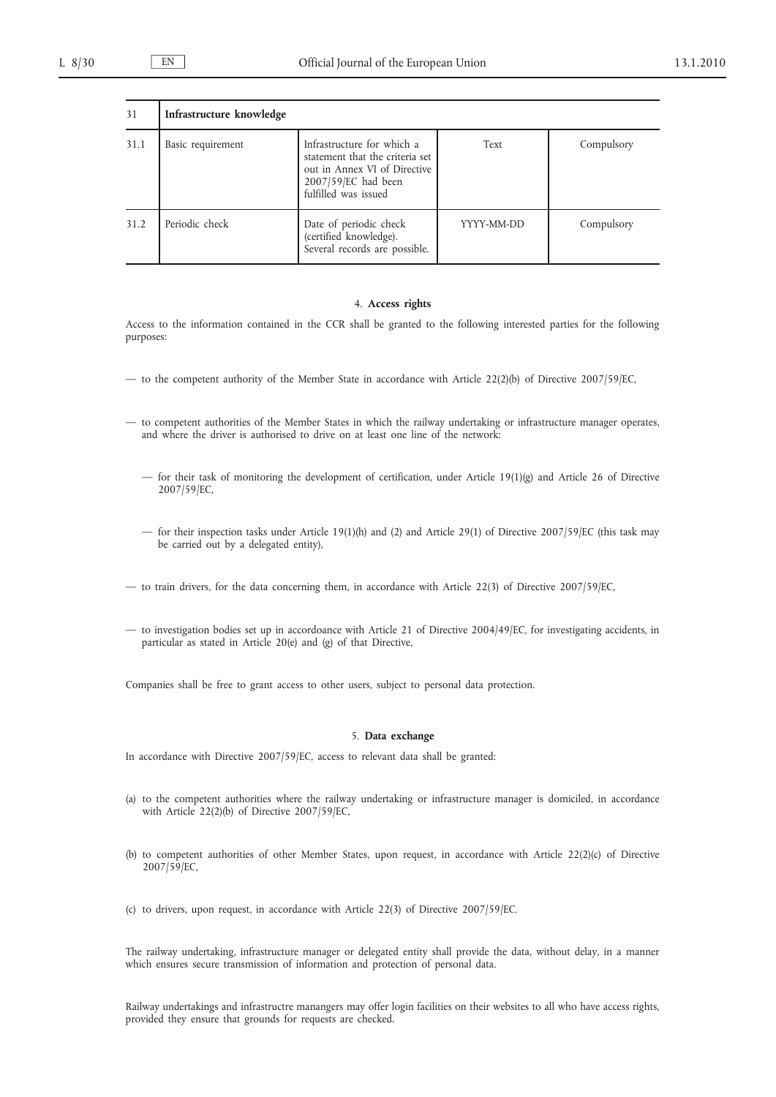| 31   | Infrastructure knowledge |                                                                                                                                              |            |            |
|------|--------------------------|----------------------------------------------------------------------------------------------------------------------------------------------|------------|------------|
| 31.1 | Basic requirement        | Infrastructure for which a<br>statement that the criteria set<br>out in Annex VI of Directive<br>2007/59/EC had been<br>fulfilled was issued | Text       | Compulsory |
| 31.2 | Periodic check           | Date of periodic check<br>(certified knowledge).<br>Several records are possible.                                                            | YYYY-MM-DD | Compulsory |

## 4. **Access rights**

Access to the information contained in the CCR shall be granted to the following interested parties for the following purposes:

- to the competent authority of the Member State in accordance with Article 22(2)(b) of Directive 2007/59/EC,
- to competent authorities of the Member States in which the railway undertaking or infrastructure manager operates, and where the driver is authorised to drive on at least one line of the network:
	- for their task of monitoring the development of certification, under Article 19(1)(g) and Article 26 of Directive 2007/59/EC,
	- for their inspection tasks under Article 19(1)(h) and (2) and Article 29(1) of Directive 2007/59/EC (this task may be carried out by a delegated entity),
- to train drivers, for the data concerning them, in accordance with Article 22(3) of Directive 2007/59/EC,
- to investigation bodies set up in accordoance with Article 21 of Directive 2004/49/EC, for investigating accidents, in particular as stated in Article 20(e) and (g) of that Directive,

Companies shall be free to grant access to other users, subject to personal data protection.

## 5. **Data exchange**

In accordance with Directive 2007/59/EC, access to relevant data shall be granted:

- (a) to the competent authorities where the railway undertaking or infrastructure manager is domiciled, in accordance with Article 22(2)(b) of Directive 2007/59/EC,
- (b) to competent authorities of other Member States, upon request, in accordance with Article 22(2)(c) of Directive 2007/59/EC,
- (c) to drivers, upon request, in accordance with Article 22(3) of Directive 2007/59/EC.

The railway undertaking, infrastructure manager or delegated entity shall provide the data, without delay, in a manner which ensures secure transmission of information and protection of personal data.

Railway undertakings and infrastructre manangers may offer login facilities on their websites to all who have access rights, provided they ensure that grounds for requests are checked.